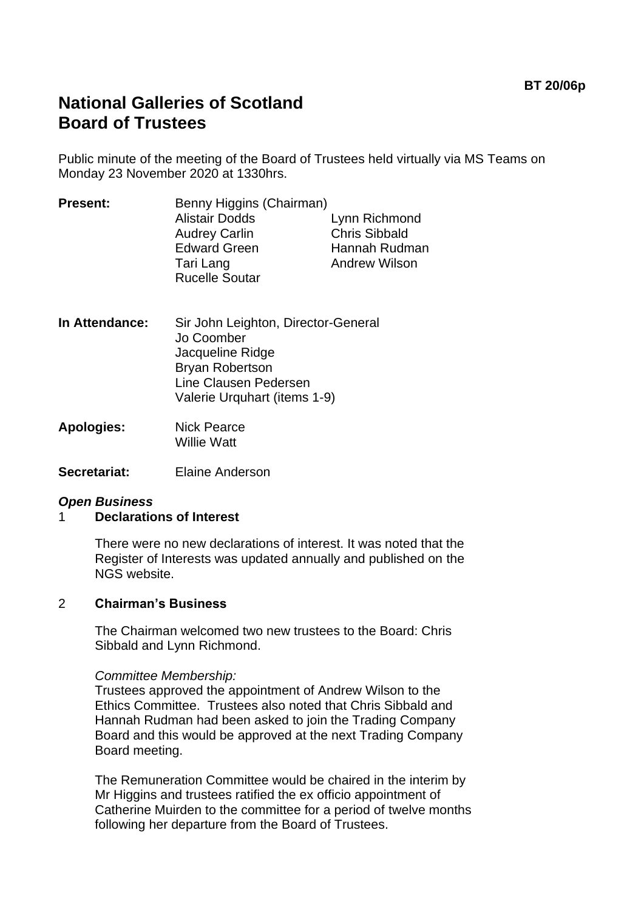# **National Galleries of Scotland Board of Trustees**

Public minute of the meeting of the Board of Trustees held virtually via MS Teams on Monday 23 November 2020 at 1330hrs.

| <b>Alistair Dodds</b><br><b>Audrey Carlin</b> | Lynn Richmond                                     |
|-----------------------------------------------|---------------------------------------------------|
|                                               | <b>Chris Sibbald</b>                              |
| <b>Edward Green</b>                           | Hannah Rudman                                     |
| Tari Lang                                     | <b>Andrew Wilson</b>                              |
|                                               |                                                   |
|                                               | Benny Higgins (Chairman)<br><b>Rucelle Soutar</b> |

- **In Attendance:** Sir John Leighton, Director-General Jo Coomber Jacqueline Ridge Bryan Robertson Line Clausen Pedersen Valerie Urquhart (items 1-9)
- **Apologies:** Nick Pearce Willie Watt
- **Secretariat:** Elaine Anderson

## *Open Business*

## 1 **Declarations of Interest**

There were no new declarations of interest. It was noted that the Register of Interests was updated annually and published on the NGS website.

## 2 **Chairman's Business**

The Chairman welcomed two new trustees to the Board: Chris Sibbald and Lynn Richmond.

## *Committee Membership:*

Trustees approved the appointment of Andrew Wilson to the Ethics Committee. Trustees also noted that Chris Sibbald and Hannah Rudman had been asked to join the Trading Company Board and this would be approved at the next Trading Company Board meeting.

The Remuneration Committee would be chaired in the interim by Mr Higgins and trustees ratified the ex officio appointment of Catherine Muirden to the committee for a period of twelve months following her departure from the Board of Trustees.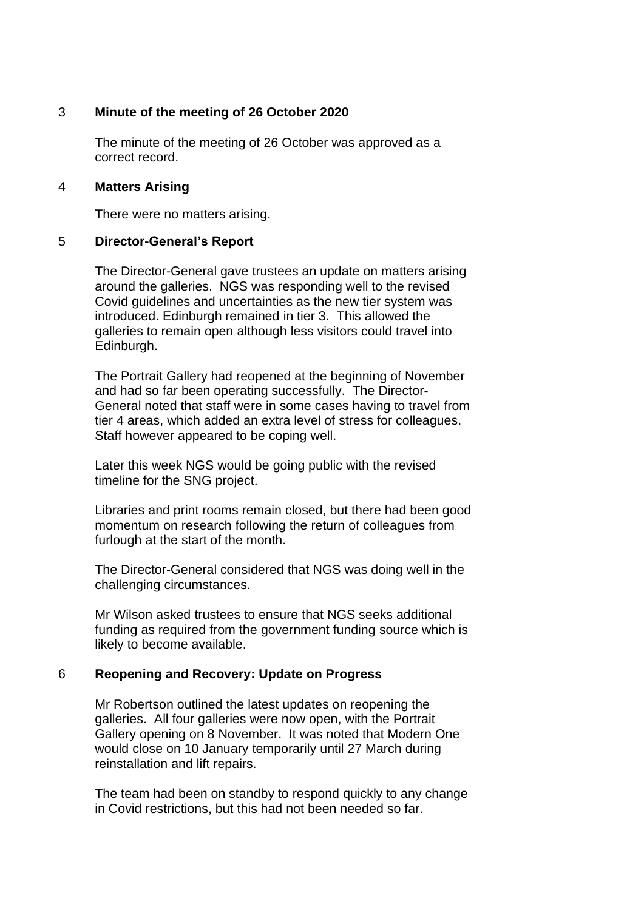## 3 **Minute of the meeting of 26 October 2020**

The minute of the meeting of 26 October was approved as a correct record.

## 4 **Matters Arising**

There were no matters arising.

## 5 **Director-General's Report**

The Director-General gave trustees an update on matters arising around the galleries. NGS was responding well to the revised Covid guidelines and uncertainties as the new tier system was introduced. Edinburgh remained in tier 3. This allowed the galleries to remain open although less visitors could travel into Edinburgh.

The Portrait Gallery had reopened at the beginning of November and had so far been operating successfully. The Director-General noted that staff were in some cases having to travel from tier 4 areas, which added an extra level of stress for colleagues. Staff however appeared to be coping well.

Later this week NGS would be going public with the revised timeline for the SNG project.

Libraries and print rooms remain closed, but there had been good momentum on research following the return of colleagues from furlough at the start of the month.

The Director-General considered that NGS was doing well in the challenging circumstances.

Mr Wilson asked trustees to ensure that NGS seeks additional funding as required from the government funding source which is likely to become available.

## 6 **Reopening and Recovery: Update on Progress**

Mr Robertson outlined the latest updates on reopening the galleries. All four galleries were now open, with the Portrait Gallery opening on 8 November. It was noted that Modern One would close on 10 January temporarily until 27 March during reinstallation and lift repairs.

The team had been on standby to respond quickly to any change in Covid restrictions, but this had not been needed so far.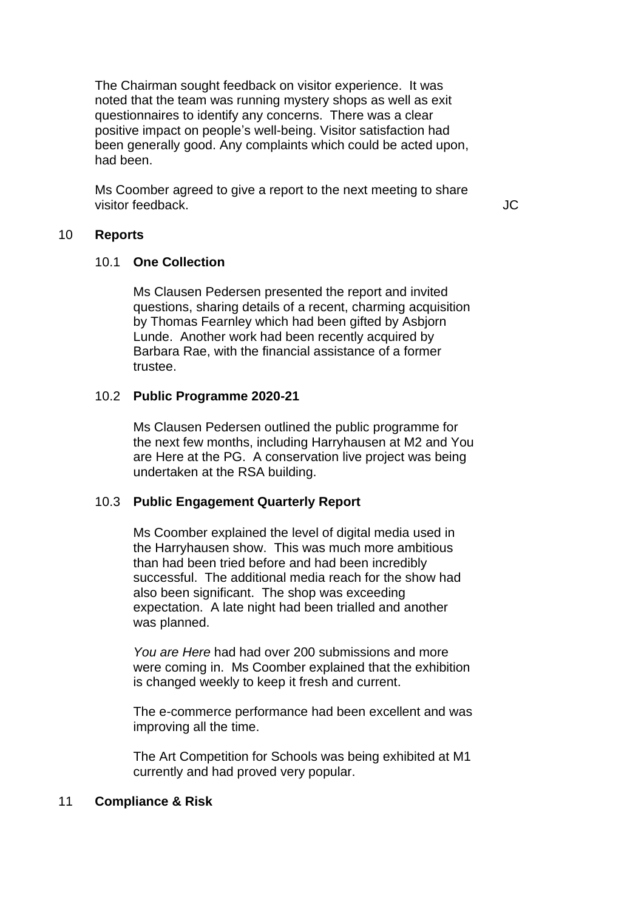The Chairman sought feedback on visitor experience. It was noted that the team was running mystery shops as well as exit questionnaires to identify any concerns. There was a clear positive impact on people's well-being. Visitor satisfaction had been generally good. Any complaints which could be acted upon, had been.

Ms Coomber agreed to give a report to the next meeting to share visitor feedback. JC

## 10 **Reports**

#### 10.1 **One Collection**

Ms Clausen Pedersen presented the report and invited questions, sharing details of a recent, charming acquisition by Thomas Fearnley which had been gifted by Asbjorn Lunde. Another work had been recently acquired by Barbara Rae, with the financial assistance of a former trustee.

## 10.2 **Public Programme 2020-21**

Ms Clausen Pedersen outlined the public programme for the next few months, including Harryhausen at M2 and You are Here at the PG. A conservation live project was being undertaken at the RSA building.

## 10.3 **Public Engagement Quarterly Report**

Ms Coomber explained the level of digital media used in the Harryhausen show. This was much more ambitious than had been tried before and had been incredibly successful. The additional media reach for the show had also been significant. The shop was exceeding expectation. A late night had been trialled and another was planned.

*You are Here* had had over 200 submissions and more were coming in. Ms Coomber explained that the exhibition is changed weekly to keep it fresh and current.

The e-commerce performance had been excellent and was improving all the time.

The Art Competition for Schools was being exhibited at M1 currently and had proved very popular.

## 11 **Compliance & Risk**